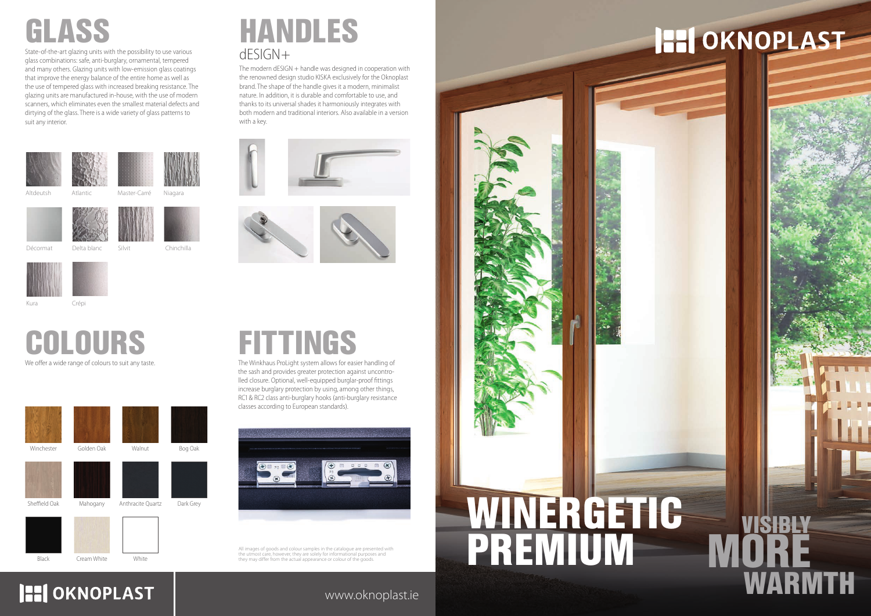www.oknoplast.ie



We offer a wide range of colours to suit any taste.

State-of-the-art glazing units with the possibility to use various glass combinations: safe, anti-burglary, ornamental, tempered and many others. Glazing units with low-emission glass coatings that improve the energy balance of the entire home as well as the use of tempered glass with increased breaking resistance. The glazing units are manufactured in-house, with the use of modern scanners, which eliminates even the smallest material defects and dirtying of the glass. There is a wide variety of glass patterns to suit any interior.

COLOURS



Décormat Delta blanc



Niagara

Silvit Chinchilla

Kura Crépi

Master-Carré



## dESIGN+ HANDLES

The modern dESIGN + handle was designed in cooperation with the renowned design studio KISKA exclusively for the Oknoplast brand. The shape of the handle gives it a modern, minimalist nature. In addition, it is durable and comfortable to use, and thanks to its universal shades it harmoniously integrates with both modern and traditional interiors. Also available in a version with a key.





## FITTINGS

The Winkhaus ProLight system allows for easier handling of the sash and provides greater protection against uncontrolled closure. Optional, well-equipped burglar-proof fittings increase burglary protection by using, among other things, RC1 & RC2 class anti-burglary hooks (anti-burglary resistance classes according to European standards).



All images of goods and colour samples in the catalogue are presented with<br>the utmost care, however, they are solely for informational purposes and<br>they may differ from the actual appearance or colour of the goods.



Black Cream White White

**HI OKNOPLAST**